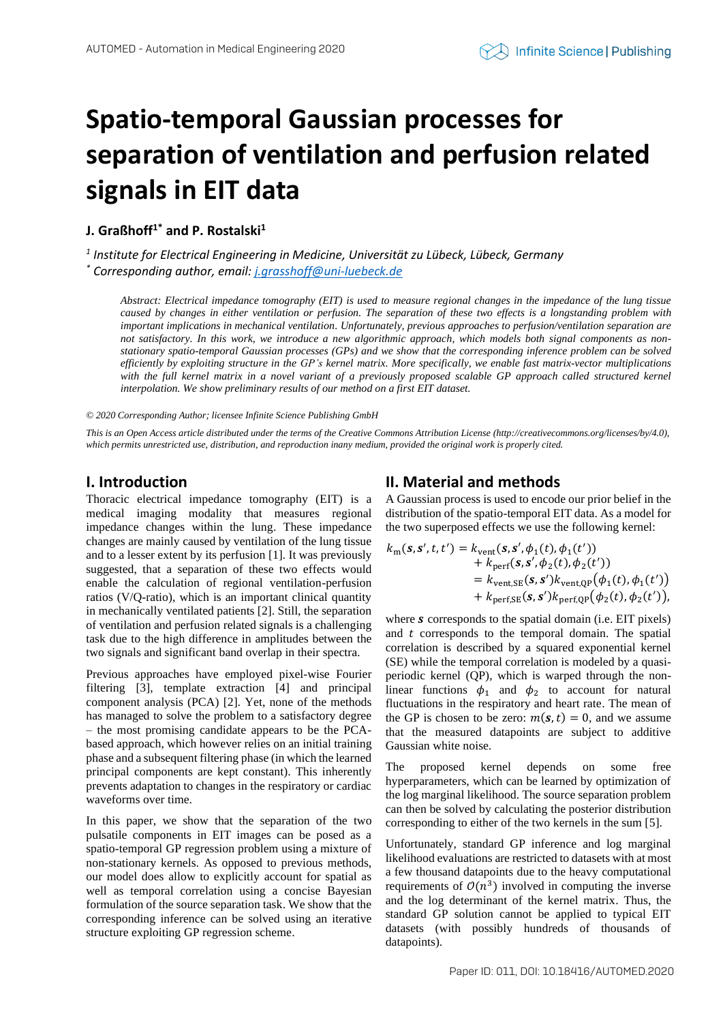# **Spatio-temporal Gaussian processes for separation of ventilation and perfusion related signals in EIT data**

**J. Graßhoff1\* and P. Rostalski<sup>1</sup>**

*1 Institute for Electrical Engineering in Medicine, Universität zu Lübeck, Lübeck, Germany*

*\* Corresponding author, email[: j.grasshoff@uni-luebeck.de](mailto:j.grasshoff@uni-luebeck.de)*

*Abstract: Electrical impedance tomography (EIT) is used to measure regional changes in the impedance of the lung tissue caused by changes in either ventilation or perfusion. The separation of these two effects is a longstanding problem with important implications in mechanical ventilation. Unfortunately, previous approaches to perfusion/ventilation separation are not satisfactory. In this work, we introduce a new algorithmic approach, which models both signal components as nonstationary spatio-temporal Gaussian processes (GPs) and we show that the corresponding inference problem can be solved efficiently by exploiting structure in the GP's kernel matrix. More specifically, we enable fast matrix-vector multiplications with the full kernel matrix in a novel variant of a previously proposed scalable GP approach called structured kernel interpolation. We show preliminary results of our method on a first EIT dataset.*

#### *© 2020 Corresponding Author; licensee Infinite Science Publishing GmbH*

*This is an Open Access article distributed under the terms of the Creative Commons Attribution License (http://creativecommons.org/licenses/by/4.0), which permits unrestricted use, distribution, and reproduction inany medium, provided the original work is properly cited.*

## **I. Introduction**

Thoracic electrical impedance tomography (EIT) is a medical imaging modality that measures regional impedance changes within the lung. These impedance changes are mainly caused by ventilation of the lung tissue and to a lesser extent by its perfusion [1]. It was previously suggested, that a separation of these two effects would enable the calculation of regional ventilation-perfusion ratios (V/Q-ratio), which is an important clinical quantity in mechanically ventilated patients [2]. Still, the separation of ventilation and perfusion related signals is a challenging task due to the high difference in amplitudes between the two signals and significant band overlap in their spectra.

Previous approaches have employed pixel-wise Fourier filtering [3], template extraction [4] and principal component analysis (PCA) [2]. Yet, none of the methods has managed to solve the problem to a satisfactory degree – the most promising candidate appears to be the PCAbased approach, which however relies on an initial training phase and a subsequent filtering phase (in which the learned principal components are kept constant). This inherently prevents adaptation to changes in the respiratory or cardiac waveforms over time.

In this paper, we show that the separation of the two pulsatile components in EIT images can be posed as a spatio-temporal GP regression problem using a mixture of non-stationary kernels. As opposed to previous methods, our model does allow to explicitly account for spatial as well as temporal correlation using a concise Bayesian formulation of the source separation task. We show that the corresponding inference can be solved using an iterative structure exploiting GP regression scheme.

# **II. Material and methods**

A Gaussian process is used to encode our prior belief in the distribution of the spatio-temporal EIT data. As a model for the two superposed effects we use the following kernel:

$$
k_{\rm m}(s, s', t, t') = k_{\rm vent}(s, s', \phi_1(t), \phi_1(t'))
$$
  
+  $k_{\rm perf}(s, s', \phi_2(t), \phi_2(t'))$   
=  $k_{\rm vent,SE}(s, s')k_{\rm vent,QP}(\phi_1(t), \phi_1(t'))$   
+  $k_{\rm perf,SE}(s, s')k_{\rm perf,QP}(\phi_2(t), \phi_2(t'))$ ,

where  $s$  corresponds to the spatial domain (i.e. EIT pixels) and  $t$  corresponds to the temporal domain. The spatial correlation is described by a squared exponential kernel (SE) while the temporal correlation is modeled by a quasiperiodic kernel (QP), which is warped through the nonlinear functions  $\phi_1$  and  $\phi_2$  to account for natural fluctuations in the respiratory and heart rate. The mean of the GP is chosen to be zero:  $m(s, t) = 0$ , and we assume that the measured datapoints are subject to additive Gaussian white noise.

The proposed kernel depends on some free hyperparameters, which can be learned by optimization of the log marginal likelihood. The source separation problem can then be solved by calculating the posterior distribution corresponding to either of the two kernels in the sum [5].

Unfortunately, standard GP inference and log marginal likelihood evaluations are restricted to datasets with at most a few thousand datapoints due to the heavy computational requirements of  $O(n^3)$  involved in computing the inverse and the log determinant of the kernel matrix. Thus, the standard GP solution cannot be applied to typical EIT datasets (with possibly hundreds of thousands of datapoints).